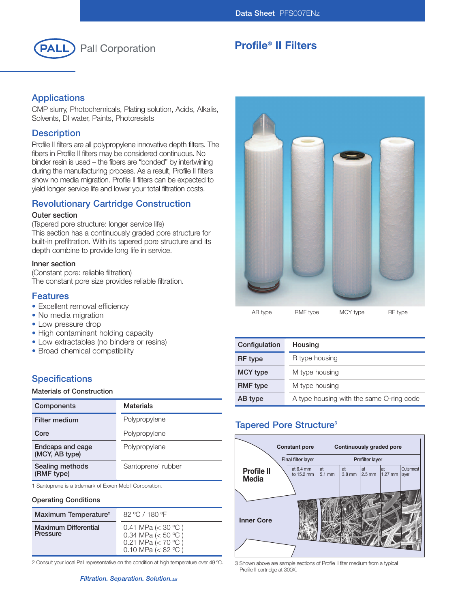

# **Profile® II Filters**

## **Applications**

CMP slurry, Photochemicals, Plating solution, Acids, Alkalis, Solvents, DI water, Paints, Photoresists

## **Description**

Profile II filters are all polypropylene innovative depth filters. The fibers in Profile II filters may be considered continuous. No binder resin is used – the fibers are "bonded" by intertwining during the manufacturing process. As a result, Profile II filters show no media migration. Profile II filters can be expected to yield longer service life and lower your total filtration costs.

## **Revolutionary Cartridge Construction**

#### **Outer section**

(Tapered pore structure: longer service life) This section has a continuously graded pore structure for built-in prefiltration. With its tapered pore structure and its depth combine to provide long life in service.

#### **Inner section**

(Constant pore: reliable filtration) The constant pore size provides reliable filtration.

### **Features**

- Excellent removal efficiency
- No media migration
- Low pressure drop
- High contaminant holding capacity
- Low extractables (no binders or resins)
- Broad chemical compatibility

## **Specifications**

#### **Materials of Construction**

| Components                         | <b>Materials</b>               |
|------------------------------------|--------------------------------|
| <b>Filter medium</b>               | Polypropylene                  |
| Core                               | Polypropylene                  |
| Endcaps and cage<br>(MCY, AB type) | Polypropylene                  |
| Sealing methods<br>(RMF type)      | Santoprene <sup>1</sup> rubber |

1 Santoprene is a trdemark of Exxon Mobil Corporation.

#### **Operating Conditions**

| Maximum Temperature <sup>2</sup>        | $82 \text{ °C}$ / 180 $\text{°F}$                                                                |
|-----------------------------------------|--------------------------------------------------------------------------------------------------|
| <b>Maximum Differential</b><br>Pressure | 0.41 MPa ( $<$ 30 °C)<br>0.34 MPa $(< 50 °C)$<br>0.21 MPa ( $<$ 70 °C)<br>0.10 MPa ( $< 82 °C$ ) |

2 Consult your local Pall representative on the condition at high temperature over 49 °C. 3 Shown above are sample sections of Profile II flter medium from a typical



AB type RMF type MCY type RF type

| Configulation   | Housing                                  |
|-----------------|------------------------------------------|
| RF type         | R type housing                           |
| <b>MCY type</b> | M type housing                           |
| <b>RMF</b> type | M type housing                           |
| AB type         | A type housing with the same O-ring code |

## **Tapered Pore Structure3**



Profile II cartridge at 300X.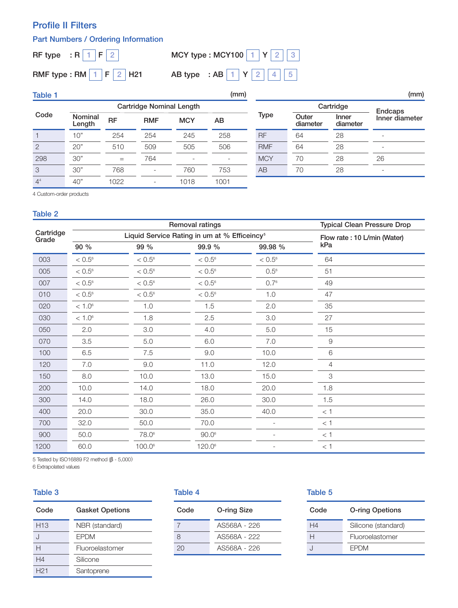## **Profile II Filters**

## **Part Numbers / Ordering Information**

**RF type : R F 1 2**

**RMF type : RM F H21**

# **MCY type : MCY100 Y 1 2 3AB type : AB Y 1 2 1 2 4 5**

| <b>Table 1</b> |                                 |           |                          |                          | (mm)                     |            |                   |                   | (mm)                     |
|----------------|---------------------------------|-----------|--------------------------|--------------------------|--------------------------|------------|-------------------|-------------------|--------------------------|
|                | <b>Cartridge Nominal Length</b> |           |                          |                          |                          | Cartridge  | <b>Endcaps</b>    |                   |                          |
| Code           | Nominal<br>Length               | <b>RF</b> | <b>RMF</b>               | <b>MCY</b>               | AВ                       | Type       | Outer<br>diameter | Inner<br>diameter | Inner diameter           |
|                | 10"                             | 254       | 254                      | 245                      | 258                      | <b>RF</b>  | 64                | 28                | $\overline{\phantom{a}}$ |
| $\overline{2}$ | 20"                             | 510       | 509                      | 505                      | 506                      | <b>RMF</b> | 64                | 28                | $\overline{\phantom{a}}$ |
| 298            | 30"                             | $=$       | 764                      | $\overline{\phantom{0}}$ | $\overline{\phantom{a}}$ | <b>MCY</b> | 70                | 28                | 26                       |
| 3              | 30"                             | 768       | $\overline{\phantom{0}}$ | 760                      | 753                      | AB         | 70                | 28                | $\overline{\phantom{a}}$ |
| 4 <sup>4</sup> | 40"                             | 1022      |                          | 1018                     | 1001                     |            |                   |                   |                          |

4 Custom-order products

#### **Table 2**

|                    | Removal ratings |                   |                                                          |                 | <b>Typical Clean Pressure Drop</b> |
|--------------------|-----------------|-------------------|----------------------------------------------------------|-----------------|------------------------------------|
| Cartridge<br>Grade |                 |                   | Liquid Service Rating in um at % Efficeincy <sup>5</sup> |                 | Flow rate: 10 L/min (Water)        |
|                    | 90 %            | 99 %              | 99.9 %                                                   | 99.98 %         | kPa                                |
| 003                | $< 0.5^{\circ}$ | $< 0.5^{\circ}$   | $< 0.5^{\circ}$                                          | $< 0.5^{\circ}$ | 64                                 |
| 005                | $< 0.5^{\circ}$ | $< 0.5^{\circ}$   | $< 0.5^{\circ}$                                          | $0.5^{\circ}$   | 51                                 |
| 007                | $< 0.5^{\circ}$ | $< 0.5^{\circ}$   | $< 0.5^{\circ}$                                          | $0.7^{\circ}$   | 49                                 |
| 010                | $< 0.5^{\circ}$ | $< 0.5^{\circ}$   | $< 0.5^{\circ}$                                          | 1.0             | 47                                 |
| 020                | $< 1.0^6$       | 1.0               | 1.5                                                      | 2.0             | 35                                 |
| 030                | $< 1.0^6$       | 1.8               | 2.5                                                      | 3.0             | 27                                 |
| 050                | 2.0             | 3.0               | 4.0                                                      | 5.0             | 15                                 |
| 070                | 3.5             | 5.0               | 6.0                                                      | 7.0             | $\hbox{9}$                         |
| 100                | 6.5             | 7.5               | 9.0                                                      | 10.0            | 6                                  |
| 120                | 7.0             | 9.0               | 11.0                                                     | 12.0            | 4                                  |
| 150                | 8.0             | 10.0              | 13.0                                                     | 15.0            | $\ensuremath{\mathsf{3}}$          |
| 200                | 10.0            | 14.0              | 18.0                                                     | 20.0            | 1.8                                |
| 300                | 14.0            | 18.0              | 26.0                                                     | 30.0            | 1.5                                |
| 400                | 20.0            | 30.0              | 35.0                                                     | 40.0            | $<\,1$                             |
| 700                | 32.0            | 50.0              | 70.0                                                     |                 | $<$ 1                              |
| 900                | 50.0            | 78.0 <sup>6</sup> | $90.0^\circ$                                             |                 | < 1                                |
| 1200               | 60.0            | 100.0             | 120.06                                                   |                 | < 1                                |

5 Tested by ISO16889 F2 method (β - 5,000)

6 Extrapolated values

#### **Table 3**

| Code            | <b>Gasket Opetions</b> |
|-----------------|------------------------|
| H <sub>13</sub> | NBR (standard)         |
| $\cdot$         | <b>EPDM</b>            |
| н               | Fluoroelastomer        |
| H <sub>4</sub>  | Silicone               |
| H <sub>21</sub> | Santoprene             |

## **Table 4**

| Code | O-ring Size  |
|------|--------------|
|      | AS568A - 226 |
| 8    | AS568A - 222 |
| 20   | AS568A - 226 |

#### **Table 5**

| Code           | <b>O-ring Opetions</b> |  |  |
|----------------|------------------------|--|--|
| H <sub>4</sub> | Silicone (standard)    |  |  |
| н              | Fluoroelastomer        |  |  |
|                | <b>FPDM</b>            |  |  |